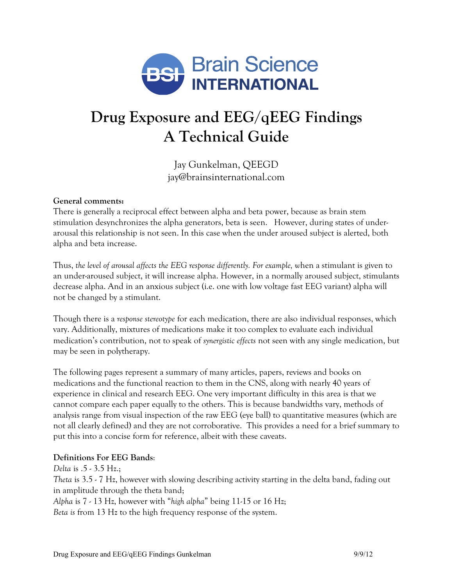

# **Drug Exposure and EEG/qEEG Findings A Technical Guide**

Jay Gunkelman, QEEGD jay@brainsinternational.com

#### **General comments:**

There is generally a reciprocal effect between alpha and beta power, because as brain stem stimulation desynchronizes the alpha generators, beta is seen. However, during states of underarousal this relationship is not seen. In this case when the under aroused subject is alerted, both alpha and beta increase.

Thus, *the level of arousal affects the EEG response differently. For example, w*hen a stimulant is given to an under-aroused subject, it will increase alpha. However, in a normally aroused subject, stimulants decrease alpha. And in an anxious subject (i.e. one with low voltage fast EEG variant) alpha will not be changed by a stimulant.

Though there is a *response stereotype* for each medication, there are also individual responses, which vary. Additionally, mixtures of medications make it too complex to evaluate each individual medication's contribution, not to speak of *synergistic effects* not seen with any single medication, but may be seen in polytherapy.

The following pages represent a summary of many articles, papers, reviews and books on medications and the functional reaction to them in the CNS, along with nearly 40 years of experience in clinical and research EEG. One very important difficulty in this area is that we cannot compare each paper equally to the others. This is because bandwidths vary, methods of analysis range from visual inspection of the raw EEG (eye ball) to quantitative measures (which are not all clearly defined) and they are not corroborative. This provides a need for a brief summary to put this into a concise form for reference, albeit with these caveats.

#### **Definitions For EEG Bands**:

*Delta* is .5 - 3.5 Hz.; *Theta* is 3.5 - 7 Hz, however with slowing describing activity starting in the delta band, fading out in amplitude through the theta band;

*Alpha* is 7 - 13 Hz, however with "*high alpha*" being 11-15 or 16 Hz;

*Beta is* from 13 Hz to the high frequency response of the system.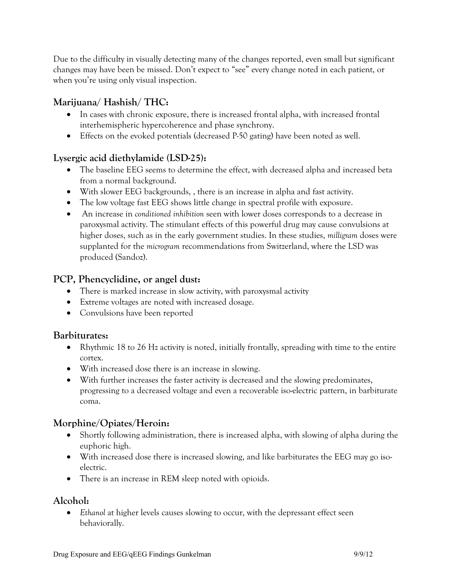Due to the difficulty in visually detecting many of the changes reported, even small but significant changes may have been be missed. Don't expect to "see" every change noted in each patient, or when you're using only visual inspection.

# **Marijuana/ Hashish/ THC:**

- In cases with chronic exposure, there is increased frontal alpha, with increased frontal interhemispheric hypercoherence and phase synchrony.
- Effects on the evoked potentials (decreased P-50 gating) have been noted as well.

# **Lysergic acid diethylamide (LSD-25):**

- The baseline EEG seems to determine the effect, with decreased alpha and increased beta from a normal background.
- With slower EEG backgrounds, , there is an increase in alpha and fast activity.
- The low voltage fast EEG shows little change in spectral profile with exposure.
- An increase in *conditioned inhibition* seen with lower doses corresponds to a decrease in paroxysmal activity. The stimulant effects of this powerful drug may cause convulsions at higher doses, such as in the early government studies. In these studies, *milligram* doses were supplanted for the *microgram* recommendations from Switzerland, where the LSD was produced (Sandoz).

# **PCP, Phencyclidine, or angel dust:**

- There is marked increase in slow activity, with paroxysmal activity
- Extreme voltages are noted with increased dosage.
- Convulsions have been reported

# **Barbiturates:**

- Rhythmic 18 to 26 Hz activity is noted, initially frontally, spreading with time to the entire cortex.
- With increased dose there is an increase in slowing.
- With further increases the faster activity is decreased and the slowing predominates, progressing to a decreased voltage and even a recoverable iso-electric pattern, in barbiturate coma.

# **Morphine/Opiates/Heroin:**

- Shortly following administration, there is increased alpha, with slowing of alpha during the euphoric high.
- With increased dose there is increased slowing, and like barbiturates the EEG may go isoelectric.
- There is an increase in REM sleep noted with opioids.

# **Alcohol:**

• *Ethanol* at higher levels causes slowing to occur, with the depressant effect seen behaviorally.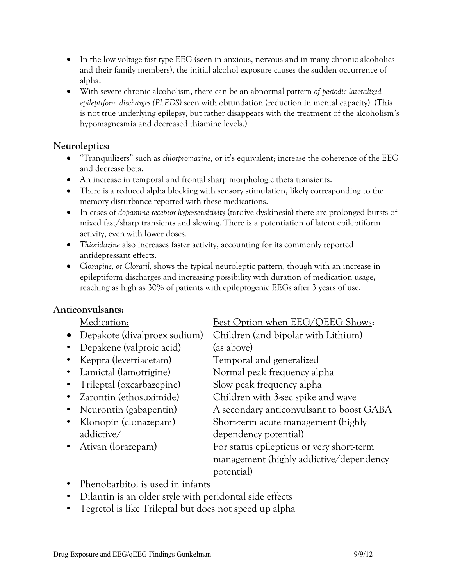- In the low voltage fast type EEG (seen in anxious, nervous and in many chronic alcoholics and their family members), the initial alcohol exposure causes the sudden occurrence of alpha.
- With severe chronic alcoholism, there can be an abnormal pattern *of periodic lateralized epileptiform discharges (PLEDS)* seen with obtundation (reduction in mental capacity). (This is not true underlying epilepsy, but rather disappears with the treatment of the alcoholism's hypomagnesmia and decreased thiamine levels.)

# **Neuroleptics:**

- "Tranquilizers" such as *chlorpromazine*, or it's equivalent; increase the coherence of the EEG and decrease beta.
- An increase in temporal and frontal sharp morphologic theta transients.
- There is a reduced alpha blocking with sensory stimulation, likely corresponding to the memory disturbance reported with these medications.
- In cases of *dopamine receptor hypersensitivity* (tardive dyskinesia) there are prolonged bursts of mixed fast/sharp transients and slowing. There is a potentiation of latent epileptiform activity, even with lower doses.
- *Thioridazine* also increases faster activity, accounting for its commonly reported antidepressant effects.
- *Clozapine, or Clozaril,* shows the typical neuroleptic pattern, though with an increase in epileptiform discharges and increasing possibility with duration of medication usage, reaching as high as 30% of patients with epileptogenic EEGs after 3 years of use.

# **Anticonvulsants:**

- Depakote (divalproex sodium) Children (and bipolar with Lithium)
- Depakene (valproic acid) (as above)
- 
- 
- Trileptal (oxcarbazepine) Slow peak frequency alpha
- 
- 
- addictive/ dependency potential)
- 

# Medication: Best Option when EEG/QEEG Shows:

• Keppra (levetriacetam) Temporal and generalized • Lamictal (lamotrigine) Normal peak frequency alpha • Zarontin (ethosuximide) Children with 3-sec spike and wave • Neurontin (gabapentin) A secondary anticonvulsant to boost GABA • Klonopin (clonazepam) Short-term acute management (highly • Ativan (lorazepam) For status epilepticus or very short-term management (highly addictive/dependency potential)

- Phenobarbitol is used in infants
- Dilantin is an older style with peridontal side effects
- Tegretol is like Trileptal but does not speed up alpha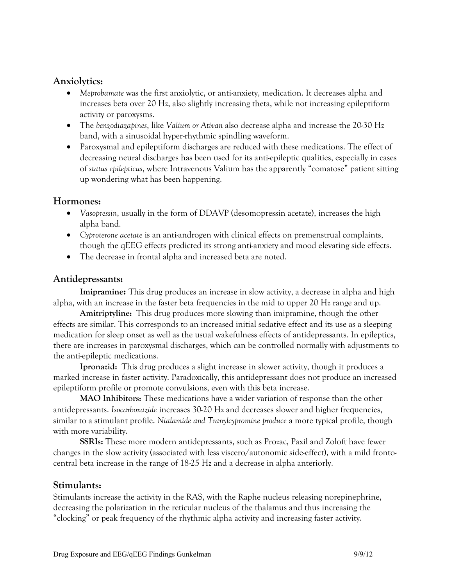### **Anxiolytics:**

- *Meprobamate* was the first anxiolytic, or anti-anxiety, medication. It decreases alpha and increases beta over 20 Hz, also slightly increasing theta, while not increasing epileptiform activity or paroxysms.
- The *benzodiazapines*, like *Valium or Ativan* also decrease alpha and increase the 20-30 Hz band, with a sinusoidal hyper-rhythmic spindling waveform.
- Paroxysmal and epileptiform discharges are reduced with these medications. The effect of decreasing neural discharges has been used for its anti-epileptic qualities, especially in cases of *status epilepticus*, where Intravenous Valium has the apparently "comatose" patient sitting up wondering what has been happening.

### **Hormones:**

- *Vasopressin*, usually in the form of DDAVP (desomopressin acetate), increases the high alpha band.
- *Cyproterone acetate* is an anti-androgen with clinical effects on premenstrual complaints, though the qEEG effects predicted its strong anti-anxiety and mood elevating side effects.
- The decrease in frontal alpha and increased beta are noted.

### **Antidepressants:**

**Imipramine:** This drug produces an increase in slow activity, a decrease in alpha and high alpha, with an increase in the faster beta frequencies in the mid to upper 20 Hz range and up.

**Amitriptyline:** This drug produces more slowing than imipramine, though the other effects are similar. This corresponds to an increased initial sedative effect and its use as a sleeping medication for sleep onset as well as the usual wakefulness effects of antidepressants. In epileptics, there are increases in paroxysmal discharges, which can be controlled normally with adjustments to the anti-epileptic medications.

**Ipronazid:** This drug produces a slight increase in slower activity, though it produces a marked increase in faster activity. Paradoxically, this antidepressant does not produce an increased epileptiform profile or promote convulsions, even with this beta increase.

**MAO Inhibitors:** These medications have a wider variation of response than the other antidepressants. *Isocarboxazide* increases 30-20 Hz and decreases slower and higher frequencies, similar to a stimulant profile. *Nialamide and Tranylcypromine produce* a more typical profile, though with more variability.

**SSRIs:** These more modern antidepressants, such as Prozac, Paxil and Zoloft have fewer changes in the slow activity (associated with less viscero/autonomic side-effect), with a mild frontocentral beta increase in the range of 18-25 Hz and a decrease in alpha anteriorly.

### **Stimulants:**

Stimulants increase the activity in the RAS, with the Raphe nucleus releasing norepinephrine, decreasing the polarization in the reticular nucleus of the thalamus and thus increasing the "clocking" or peak frequency of the rhythmic alpha activity and increasing faster activity.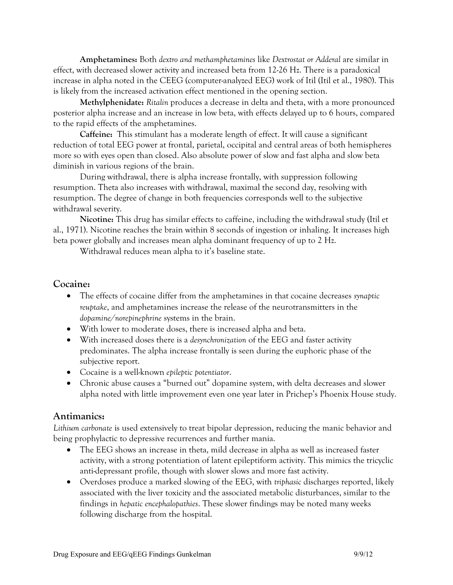**Amphetamines:** Both *dextro and methamphetamines* like *Dextrostat or Adderal* are similar in effect, with decreased slower activity and increased beta from 12-26 Hz. There is a paradoxical increase in alpha noted in the CEEG (computer-analyzed EEG) work of Itil (Itil et al., 1980). This is likely from the increased activation effect mentioned in the opening section.

**Methylphenidate:** *Ritalin* produces a decrease in delta and theta, with a more pronounced posterior alpha increase and an increase in low beta, with effects delayed up to 6 hours, compared to the rapid effects of the amphetamines.

**Caffeine:** This stimulant has a moderate length of effect. It will cause a significant reduction of total EEG power at frontal, parietal, occipital and central areas of both hemispheres more so with eyes open than closed. Also absolute power of slow and fast alpha and slow beta diminish in various regions of the brain.

During withdrawal, there is alpha increase frontally, with suppression following resumption. Theta also increases with withdrawal, maximal the second day, resolving with resumption. The degree of change in both frequencies corresponds well to the subjective withdrawal severity.

**Nicotine:** This drug has similar effects to caffeine, including the withdrawal study (Itil et al., 1971). Nicotine reaches the brain within 8 seconds of ingestion or inhaling. It increases high beta power globally and increases mean alpha dominant frequency of up to 2 Hz.

Withdrawal reduces mean alpha to it's baseline state.

#### **Cocaine:**

- The effects of cocaine differ from the amphetamines in that cocaine decreases *synaptic reuptake*, and amphetamines increase the release of the neurotransmitters in the *dopamine/norepinephrine* systems in the brain.
- With lower to moderate doses, there is increased alpha and beta.
- With increased doses there is a *desynchronization* of the EEG and faster activity predominates. The alpha increase frontally is seen during the euphoric phase of the subjective report.
- Cocaine is a well-known *epileptic potentiator*.
- Chronic abuse causes a "burned out" dopamine system, with delta decreases and slower alpha noted with little improvement even one year later in Prichep's Phoenix House study.

#### **Antimanics:**

*Lithium carbonate* is used extensively to treat bipolar depression, reducing the manic behavior and being prophylactic to depressive recurrences and further mania.

- The EEG shows an increase in theta, mild decrease in alpha as well as increased faster activity, with a strong potentiation of latent epileptiform activity. This mimics the tricyclic anti-depressant profile, though with slower slows and more fast activity.
- Overdoses produce a marked slowing of the EEG, with *triphasic* discharges reported, likely associated with the liver toxicity and the associated metabolic disturbances, similar to the findings in *hepatic encephalopathies*. These slower findings may be noted many weeks following discharge from the hospital.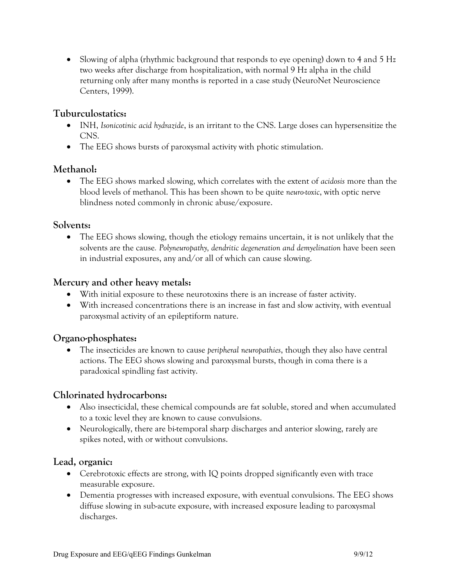• Slowing of alpha (rhythmic background that responds to eye opening) down to 4 and 5 Hz two weeks after discharge from hospitalization, with normal 9 Hz alpha in the child returning only after many months is reported in a case study (NeuroNet Neuroscience Centers, 1999).

# **Tuburculostatics:**

- INH, *Isonicotinic acid hydrazide*, is an irritant to the CNS. Large doses can hypersensitize the CNS.
- The EEG shows bursts of paroxysmal activity with photic stimulation.

# **Methanol:**

• The EEG shows marked slowing, which correlates with the extent of *acidosis* more than the blood levels of methanol. This has been shown to be quite *neuro-toxic*, with optic nerve blindness noted commonly in chronic abuse/exposure.

### **Solvents:**

• The EEG shows slowing, though the etiology remains uncertain, it is not unlikely that the solvents are the cause*. Polyneuropathy, dendritic degeneration and demyelination* have been seen in industrial exposures, any and/or all of which can cause slowing.

# **Mercury and other heavy metals:**

- With initial exposure to these neurotoxins there is an increase of faster activity.
- With increased concentrations there is an increase in fast and slow activity, with eventual paroxysmal activity of an epileptiform nature.

# **Organo-phosphates:**

• The insecticides are known to cause *peripheral neuropathies*, though they also have central actions. The EEG shows slowing and paroxysmal bursts, though in coma there is a paradoxical spindling fast activity.

# **Chlorinated hydrocarbons:**

- Also insecticidal, these chemical compounds are fat soluble, stored and when accumulated to a toxic level they are known to cause convulsions.
- Neurologically, there are bi-temporal sharp discharges and anterior slowing, rarely are spikes noted, with or without convulsions.

### **Lead, organic:**

- Cerebrotoxic effects are strong, with IQ points dropped significantly even with trace measurable exposure.
- Dementia progresses with increased exposure, with eventual convulsions. The EEG shows diffuse slowing in sub-acute exposure, with increased exposure leading to paroxysmal discharges.